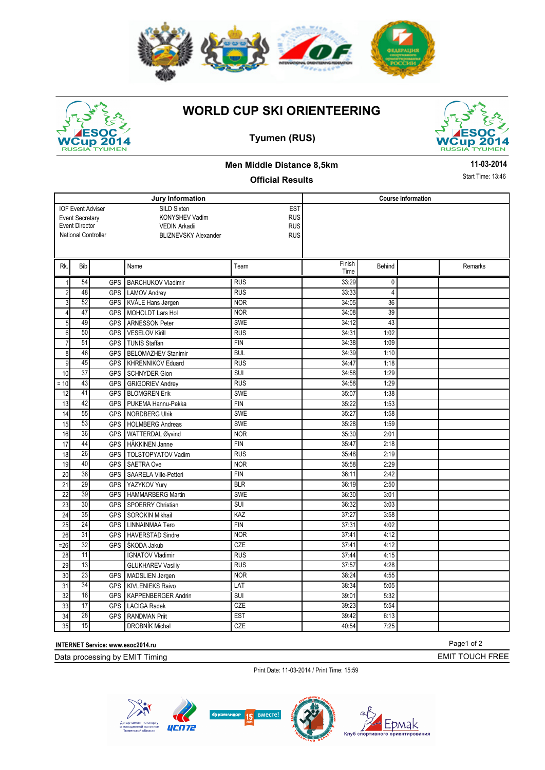





## **Tyumen (RUS)**



#### **Men Middle Distance 8,5km**

### **Official Results**

**11-03-2014**

Start Time: 13:46

|                 |                                                    |            | Jury Information            | <b>Course Information</b> |        |                |  |         |
|-----------------|----------------------------------------------------|------------|-----------------------------|---------------------------|--------|----------------|--|---------|
|                 |                                                    |            | SILD Sixten                 | <b>EST</b>                |        |                |  |         |
|                 | <b>IOF Event Adviser</b><br><b>Event Secretary</b> |            | <b>KONYSHEV Vadim</b>       | <b>RUS</b>                |        |                |  |         |
|                 | <b>Event Director</b>                              |            | <b>VEDIN Arkadii</b>        | <b>RUS</b>                |        |                |  |         |
|                 | <b>National Controller</b>                         |            | <b>BLIZNEVSKY Alexander</b> | <b>RUS</b>                |        |                |  |         |
|                 |                                                    |            |                             |                           |        |                |  |         |
|                 |                                                    |            |                             |                           |        |                |  |         |
| Rk.             | Bib                                                |            | Name                        | Team                      | Finish | Behind         |  | Remarks |
|                 |                                                    |            |                             |                           | Time   |                |  |         |
| $\mathbf{1}$    | 54                                                 | <b>GPS</b> | <b>BARCHUKOV Vladimir</b>   | <b>RUS</b>                | 33:29  | 0              |  |         |
| $\overline{2}$  | 48                                                 | <b>GPS</b> | <b>LAMOV Andrey</b>         | <b>RUS</b>                | 33:33  | $\overline{4}$ |  |         |
| $\overline{3}$  | 52                                                 | <b>GPS</b> | KVÅLE Hans Jørgen           | <b>NOR</b>                | 34:05  | 36             |  |         |
| $\overline{4}$  | 47                                                 | <b>GPS</b> | MOHOLDT Lars Hol            | <b>NOR</b>                | 34:08  | 39             |  |         |
| 5               | 49                                                 | <b>GPS</b> | <b>ARNESSON Peter</b>       | <b>SWE</b>                | 34:12  | 43             |  |         |
| 6               | 50                                                 | <b>GPS</b> | <b>VESELOV Kirill</b>       | <b>RUS</b>                | 34:31  | 1:02           |  |         |
| $\overline{7}$  | 51                                                 | <b>GPS</b> | <b>TUNIS Staffan</b>        | <b>FIN</b>                | 34:38  | 1:09           |  |         |
| 8               | 46                                                 | <b>GPS</b> | <b>BELOMAZHEV Stanimir</b>  | <b>BUL</b>                | 34:39  | 1:10           |  |         |
| 9               | 45                                                 | <b>GPS</b> | <b>KHRENNIKOV Eduard</b>    | <b>RUS</b>                | 34:47  | 1:18           |  |         |
| 10              | 37                                                 | <b>GPS</b> | <b>SCHNYDER Gion</b>        | <b>SUI</b>                | 34:58  | 1:29           |  |         |
| $= 10$          | 43                                                 | <b>GPS</b> | <b>GRIGORIEV Andrev</b>     | <b>RUS</b>                | 34:58  | 1:29           |  |         |
| 12              | 41                                                 | GPS        | <b>BLOMGREN Erik</b>        | SWE                       | 35:07  | 1:38           |  |         |
| 13              | 42                                                 | <b>GPS</b> | PUKEMA Hannu-Pekka          | <b>FIN</b>                | 35:22  | 1:53           |  |         |
| 14              | 55                                                 | <b>GPS</b> | NORDBERG Ulrik              | SWE                       | 35:27  | 1:58           |  |         |
| 15              | 53                                                 | <b>GPS</b> | <b>HOLMBERG Andreas</b>     | <b>SWE</b>                | 35:28  | 1:59           |  |         |
| 16              | 36                                                 | <b>GPS</b> | WATTERDAL Øyvind            | <b>NOR</b>                | 35:30  | 2:01           |  |         |
| 17              | 44                                                 | <b>GPS</b> | <b>HÄKKINEN Janne</b>       | <b>FIN</b>                | 35:47  | 2:18           |  |         |
| 18              | 26                                                 | <b>GPS</b> | <b>TOLSTOPYATOV Vadim</b>   | <b>RUS</b>                | 35:48  | 2:19           |  |         |
| 19              | 40                                                 | <b>GPS</b> | <b>SAETRA Ove</b>           | <b>NOR</b>                | 35:58  | 2:29           |  |         |
| 20              | 38                                                 | <b>GPS</b> | SAARELA Ville-Petteri       | <b>FIN</b>                | 36:11  | 2:42           |  |         |
| 21              | $\overline{29}$                                    | <b>GPS</b> | YAZYKOV Yury                | <b>BLR</b>                | 36:19  | 2:50           |  |         |
| 22              | 39                                                 | <b>GPS</b> | HAMMARBERG Martin           | <b>SWE</b>                | 36:30  | 3:01           |  |         |
| $\overline{23}$ | 30                                                 | <b>GPS</b> | <b>SPOERRY Christian</b>    | <b>SUI</b>                | 36:32  | 3:03           |  |         |
| 24              | 35                                                 | <b>GPS</b> | <b>SOROKIN Mikhail</b>      | KAZ                       | 37:27  | 3:58           |  |         |
| 25              | 24                                                 | <b>GPS</b> | <b>LINNAINMAA Tero</b>      | <b>FIN</b>                | 37:31  | 4:02           |  |         |
| 26              | 31                                                 | <b>GPS</b> | <b>HAVERSTAD Sindre</b>     | <b>NOR</b>                | 37:41  | 4:12           |  |         |
| $= 26$          | 32                                                 | <b>GPS</b> | ŠKODA Jakub                 | <b>CZE</b>                | 37:41  | 4:12           |  |         |
| 28              | 11                                                 |            | <b>IGNATOV Vladimir</b>     | <b>RUS</b>                | 37:44  | 4:15           |  |         |
| 29              | 13                                                 |            | <b>GLUKHAREV Vasiliy</b>    | <b>RUS</b>                | 37:57  | 4:28           |  |         |
| 30              | 23                                                 | <b>GPS</b> | MADSLIEN Jørgen             | <b>NOR</b>                | 38:24  | 4:55           |  |         |
| 31              | 34                                                 | <b>GPS</b> | <b>KIVLENIEKS Raivo</b>     | LAT                       | 38:34  | 5:05           |  |         |
| 32              | 16                                                 | <b>GPS</b> | KAPPENBERGER Andrin         | <b>SUI</b>                | 39:01  | 5:32           |  |         |
| 33              | 17                                                 | <b>GPS</b> | <b>LACIGA Radek</b>         | <b>CZE</b>                | 39:23  | 5:54           |  |         |
| 34              | 28                                                 | <b>GPS</b> | <b>RANDMAN Priit</b>        | <b>EST</b>                | 39:42  | 6:13           |  |         |
|                 | 15                                                 |            |                             |                           |        |                |  |         |
| 35              |                                                    |            | <b>DROBNÍK Michal</b>       | CZE                       | 40:54  | 7:25           |  |         |

**INTERNET Service: www.esoc2014.ru** 

Data processing by EMIT Timing

Print Date: 11-03-2014 / Print Time: 15:59





EMIT TOUCH FREE